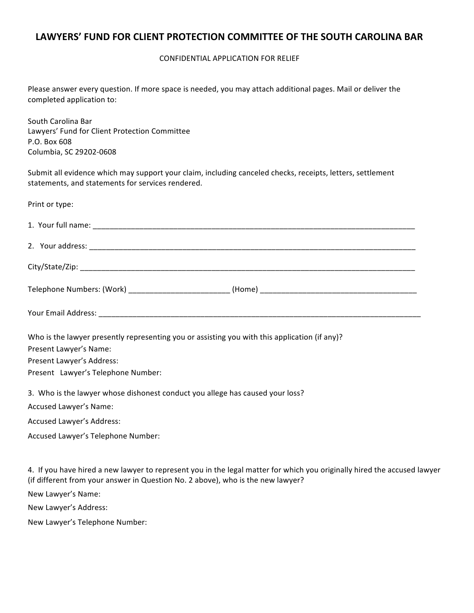CONFIDENTIAL APPLICATION FOR RELIEF

Please answer every question. If more space is needed, you may attach additional pages. Mail or deliver the completed application to:

South Carolina Bar Lawyers' Fund for Client Protection Committee P.O. Box 608 Columbia, SC 29202-0608

Submit all evidence which may support your claim, including canceled checks, receipts, letters, settlement statements, and statements for services rendered.

| Print or type:                                                                                                        |  |
|-----------------------------------------------------------------------------------------------------------------------|--|
|                                                                                                                       |  |
|                                                                                                                       |  |
|                                                                                                                       |  |
|                                                                                                                       |  |
|                                                                                                                       |  |
| Who is the lawyer presently representing you or assisting you with this application (if any)?                         |  |
| Present Lawyer's Name:                                                                                                |  |
| Present Lawyer's Address:                                                                                             |  |
| Present Lawyer's Telephone Number:                                                                                    |  |
| 3. Who is the lawyer whose dishonest conduct you allege has caused your loss?                                         |  |
| Accused Lawyer's Name:                                                                                                |  |
| <b>Accused Lawyer's Address:</b>                                                                                      |  |
| Accused Lawyer's Telephone Number:                                                                                    |  |
| $\mu$ if you have a head a nouvely representation in the legal metter ferminish you existed wide abused the course it |  |

4. If you have hired a new lawyer to represent you in the legal matter for which you originally hired the accused lawyer (if different from your answer in Question No. 2 above), who is the new lawyer?

New Lawyer's Name:

New Lawyer's Address:

New Lawyer's Telephone Number: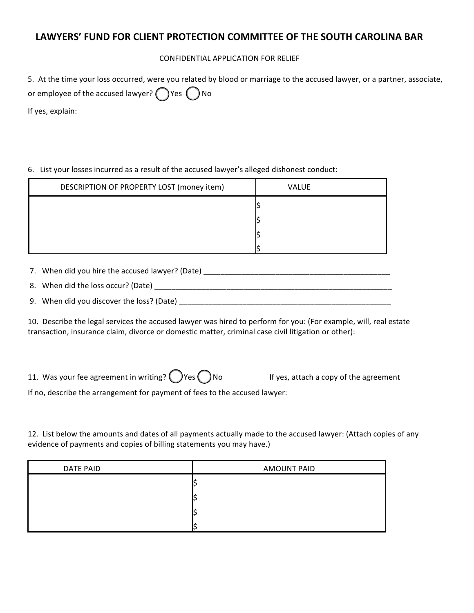### CONFIDENTIAL APPLICATION FOR RELIEF

| 5. At the time your loss occurred, were you related by blood or marriage to the accused lawyer, or a partner, associate, |
|--------------------------------------------------------------------------------------------------------------------------|
| or employee of the accused lawyer? $\bigcap$ Yes $\bigcap$ No                                                            |
|                                                                                                                          |

If yes, explain:

6. List your losses incurred as a result of the accused lawyer's alleged dishonest conduct:

| DESCRIPTION OF PROPERTY LOST (money item) | <b>VALUE</b> |
|-------------------------------------------|--------------|
|                                           |              |
|                                           |              |
|                                           |              |
|                                           |              |

7. When did you hire the accused lawyer? (Date) \_\_\_\_\_\_\_\_\_\_\_\_\_\_\_\_\_\_\_\_\_\_\_\_\_\_\_\_\_\_\_\_\_\_\_\_\_\_\_\_\_\_\_\_

8. When did the loss occur? (Date) \_\_\_\_\_\_\_\_\_\_\_\_\_\_\_\_\_\_\_\_\_\_\_\_\_\_\_\_\_\_\_\_\_\_\_\_\_\_\_\_\_\_\_\_\_\_\_\_\_\_\_\_\_\_\_\_

9. When did you discover the loss? (Date) \_\_\_\_\_\_\_\_\_\_\_\_\_\_\_\_\_\_\_\_\_\_\_\_\_\_\_\_\_\_\_\_\_\_\_\_\_\_\_\_\_\_\_\_\_\_\_\_\_\_

10. Describe the legal services the accused lawyer was hired to perform for you: (For example, will, real estate transaction, insurance claim, divorce or domestic matter, criminal case civil litigation or other):

11. Was your fee agreement in writing?  $\binom{1}{x}$  Yes  $\binom{1}{x}$  No If yes, attach a copy of the agreement

If no, describe the arrangement for payment of fees to the accused lawyer:

12. List below the amounts and dates of all payments actually made to the accused lawyer: (Attach copies of any evidence of payments and copies of billing statements you may have.)

| <b>DATE PAID</b> | <b>AMOUNT PAID</b> |
|------------------|--------------------|
|                  |                    |
|                  |                    |
|                  |                    |
|                  |                    |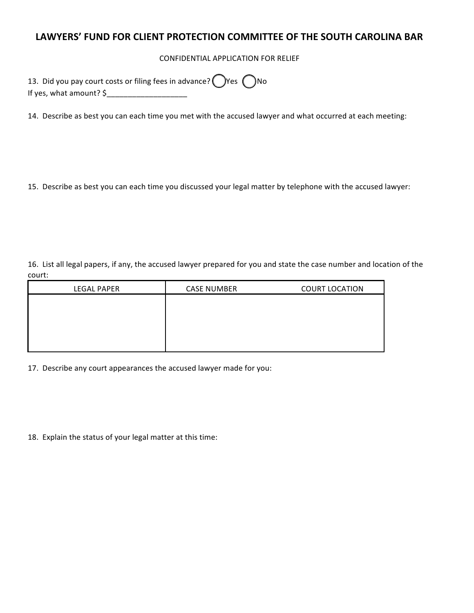CONFIDENTIAL APPLICATION FOR RELIEF

| 13. Did you pay court costs or filing fees in advance? $\bigcirc$ Yes $\bigcirc$ No |
|-------------------------------------------------------------------------------------|
| If yes, what amount? $\frac{1}{2}$                                                  |

14. Describe as best you can each time you met with the accused lawyer and what occurred at each meeting:

15. Describe as best you can each time you discussed your legal matter by telephone with the accused lawyer:

16. List all legal papers, if any, the accused lawyer prepared for you and state the case number and location of the court:

| <b>LEGAL PAPER</b> | <b>CASE NUMBER</b> | <b>COURT LOCATION</b> |
|--------------------|--------------------|-----------------------|
|                    |                    |                       |
|                    |                    |                       |
|                    |                    |                       |
|                    |                    |                       |
|                    |                    |                       |

17. Describe any court appearances the accused lawyer made for you:

18. Explain the status of your legal matter at this time: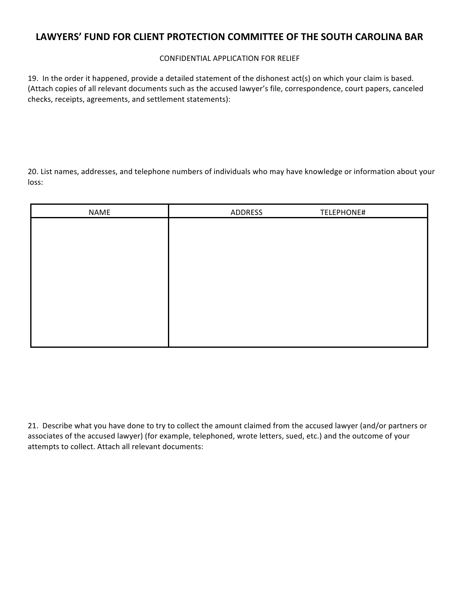#### CONFIDENTIAL APPLICATION FOR RELIEF

19. In the order it happened, provide a detailed statement of the dishonest act(s) on which your claim is based. (Attach copies of all relevant documents such as the accused lawyer's file, correspondence, court papers, canceled checks, receipts, agreements, and settlement statements):

20. List names, addresses, and telephone numbers of individuals who may have knowledge or information about your loss:

| NAME | ADDRESS | TELEPHONE# |
|------|---------|------------|
|      |         |            |
|      |         |            |
|      |         |            |
|      |         |            |
|      |         |            |
|      |         |            |
|      |         |            |
|      |         |            |
|      |         |            |
|      |         |            |

21. Describe what you have done to try to collect the amount claimed from the accused lawyer (and/or partners or associates of the accused lawyer) (for example, telephoned, wrote letters, sued, etc.) and the outcome of your attempts to collect. Attach all relevant documents: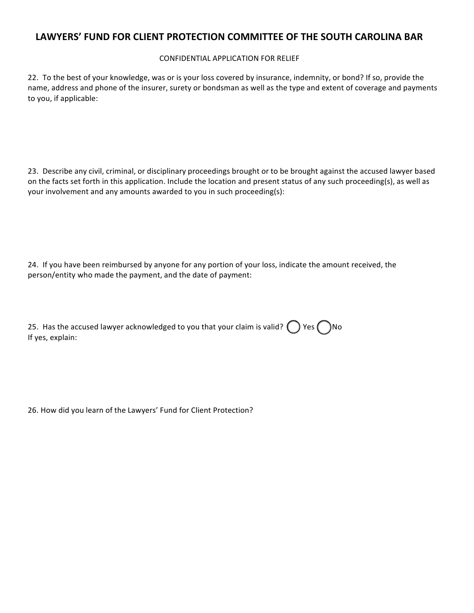#### CONFIDENTIAL APPLICATION FOR RELIEF

22. To the best of your knowledge, was or is your loss covered by insurance, indemnity, or bond? If so, provide the name, address and phone of the insurer, surety or bondsman as well as the type and extent of coverage and payments to you, if applicable:

23. Describe any civil, criminal, or disciplinary proceedings brought or to be brought against the accused lawyer based on the facts set forth in this application. Include the location and present status of any such proceeding(s), as well as your involvement and any amounts awarded to you in such proceeding(s):

24. If you have been reimbursed by anyone for any portion of your loss, indicate the amount received, the person/entity who made the payment, and the date of payment:

| 25. Has the accused lawyer acknowledged to you that your claim is valid? $\bigcirc$ Yes $\bigcirc$ No |  |
|-------------------------------------------------------------------------------------------------------|--|
| If yes, explain:                                                                                      |  |

26. How did you learn of the Lawyers' Fund for Client Protection?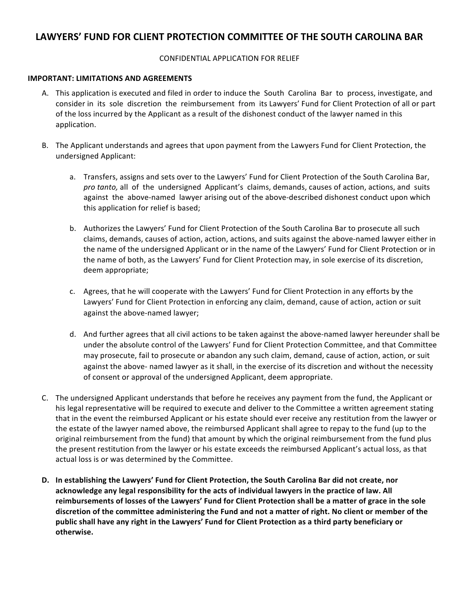#### CONFIDENTIAL APPLICATION FOR RELIEF

#### **IMPORTANT: LIMITATIONS AND AGREEMENTS**

- A. This application is executed and filed in order to induce the South Carolina Bar to process, investigate, and consider in its sole discretion the reimbursement from its Lawyers' Fund for Client Protection of all or part of the loss incurred by the Applicant as a result of the dishonest conduct of the lawyer named in this application.
- B. The Applicant understands and agrees that upon payment from the Lawyers Fund for Client Protection, the undersigned Applicant:
	- a. Transfers, assigns and sets over to the Lawyers' Fund for Client Protection of the South Carolina Bar, *pro* tanto, all of the undersigned Applicant's claims, demands, causes of action, actions, and suits against the above-named lawyer arising out of the above-described dishonest conduct upon which this application for relief is based;
	- b. Authorizes the Lawyers' Fund for Client Protection of the South Carolina Bar to prosecute all such claims, demands, causes of action, action, actions, and suits against the above-named lawyer either in the name of the undersigned Applicant or in the name of the Lawyers' Fund for Client Protection or in the name of both, as the Lawyers' Fund for Client Protection may, in sole exercise of its discretion, deem appropriate;
	- c. Agrees, that he will cooperate with the Lawyers' Fund for Client Protection in any efforts by the Lawyers' Fund for Client Protection in enforcing any claim, demand, cause of action, action or suit against the above-named lawyer;
	- d. And further agrees that all civil actions to be taken against the above-named lawyer hereunder shall be under the absolute control of the Lawyers' Fund for Client Protection Committee, and that Committee may prosecute, fail to prosecute or abandon any such claim, demand, cause of action, action, or suit against the above- named lawyer as it shall, in the exercise of its discretion and without the necessity of consent or approval of the undersigned Applicant, deem appropriate.
- C. The undersigned Applicant understands that before he receives any payment from the fund, the Applicant or his legal representative will be required to execute and deliver to the Committee a written agreement stating that in the event the reimbursed Applicant or his estate should ever receive any restitution from the lawyer or the estate of the lawyer named above, the reimbursed Applicant shall agree to repay to the fund (up to the original reimbursement from the fund) that amount by which the original reimbursement from the fund plus the present restitution from the lawyer or his estate exceeds the reimbursed Applicant's actual loss, as that actual loss is or was determined by the Committee.
- D. In establishing the Lawyers' Fund for Client Protection, the South Carolina Bar did not create, nor acknowledge any legal responsibility for the acts of individual lawyers in the practice of law. All reimbursements of losses of the Lawyers' Fund for Client Protection shall be a matter of grace in the sole discretion of the committee administering the Fund and not a matter of right. No client or member of the public shall have any right in the Lawyers' Fund for Client Protection as a third party beneficiary or **otherwise.**